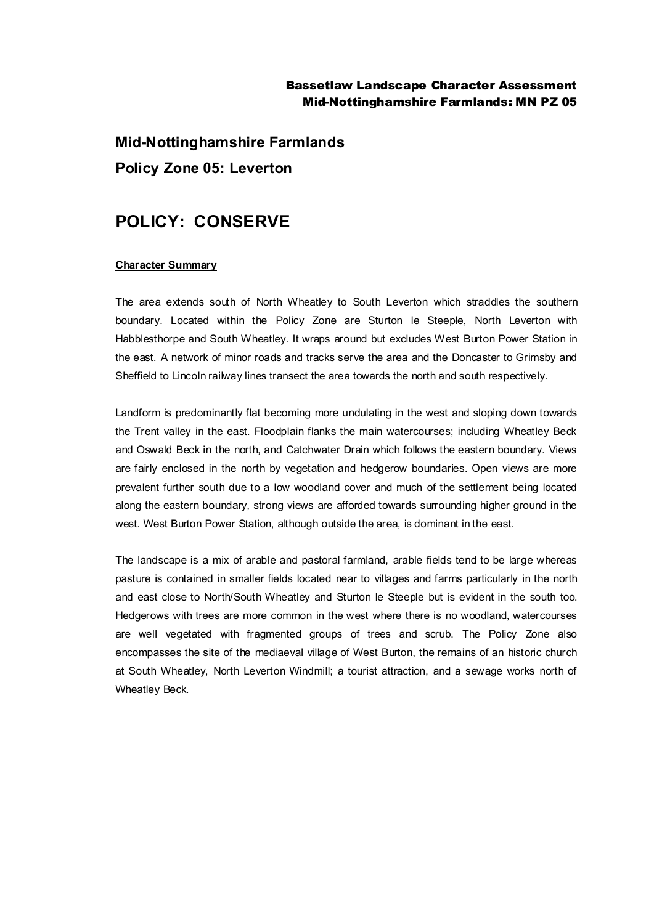## Bassetlaw Landscape Character Assessment Mid-Nottinghamshire Farmlands: MN PZ 05

**Mid-Nottinghamshire Farmlands Policy Zone 05: Leverton**

# **POLICY: CONSERVE**

#### **Character Summary**

The area extends south of North Wheatley to South Leverton which straddles the southern boundary. Located within the Policy Zone are Sturton le Steeple, North Leverton with Habblesthorpe and South Wheatley. It wraps around but excludes West Burton Power Station in the east. A network of minor roads and tracks serve the area and the Doncaster to Grimsby and Sheffield to Lincoln railway lines transect the area towards the north and south respectively.

Landform is predominantly flat becoming more undulating in the west and sloping down towards the Trent valley in the east. Floodplain flanks the main watercourses; including Wheatley Beck and Oswald Beck in the north, and Catchwater Drain which follows the eastern boundary. Views are fairly enclosed in the north by vegetation and hedgerow boundaries. Open views are more prevalent further south due to a low woodland cover and much of the settlement being located along the eastern boundary, strong views are afforded towards surrounding higher ground in the west. West Burton Power Station, although outside the area, is dominant in the east.

The landscape is a mix of arable and pastoral farmland, arable fields tend to be large whereas pasture is contained in smaller fields located near to villages and farms particularly in the north and east close to North/South Wheatley and Sturton le Steeple but is evident in the south too. Hedgerows with trees are more common in the west where there is no woodland, watercourses are well vegetated with fragmented groups of trees and scrub. The Policy Zone also encompasses the site of the mediaeval village of West Burton, the remains of an historic church at South Wheatley, North Leverton Windmill; a tourist attraction, and a sewage works north of Wheatley Beck.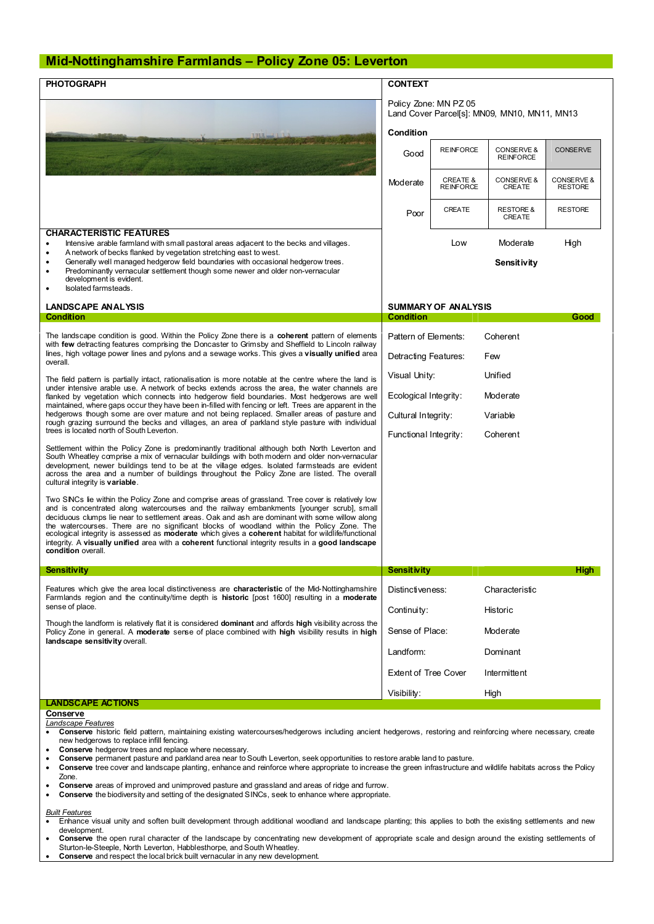### **Mid-Nottinghamshire Farmlands – Policy Zone 05: Leverton**

| <b>CHARACTERISTIC FEATURES</b><br>Intensive arable farmland with small pastoral areas adjacent to the becks and villages.<br>A network of becks flanked by vegetation stretching east to west.<br>$\bullet$                                                                                                                                                                                                                                                                                                                                                                                                                                                      | Condition<br>Good<br>Moderate<br>Poor        | Policy Zone: MN PZ 05<br><b>REINFORCE</b><br><b>CREATE &amp;</b><br><b>REINFORCE</b> | Land Cover Parcel[s]: MN09, MN10, MN11, MN13<br>CONSERVE &<br><b>REINFORCE</b> | <b>CONSERVE</b>              |
|------------------------------------------------------------------------------------------------------------------------------------------------------------------------------------------------------------------------------------------------------------------------------------------------------------------------------------------------------------------------------------------------------------------------------------------------------------------------------------------------------------------------------------------------------------------------------------------------------------------------------------------------------------------|----------------------------------------------|--------------------------------------------------------------------------------------|--------------------------------------------------------------------------------|------------------------------|
|                                                                                                                                                                                                                                                                                                                                                                                                                                                                                                                                                                                                                                                                  |                                              |                                                                                      |                                                                                |                              |
|                                                                                                                                                                                                                                                                                                                                                                                                                                                                                                                                                                                                                                                                  |                                              |                                                                                      |                                                                                |                              |
|                                                                                                                                                                                                                                                                                                                                                                                                                                                                                                                                                                                                                                                                  |                                              |                                                                                      |                                                                                |                              |
|                                                                                                                                                                                                                                                                                                                                                                                                                                                                                                                                                                                                                                                                  |                                              |                                                                                      | CONSERVE &<br><b>CREATE</b>                                                    | CONSERVE &<br><b>RESTORE</b> |
|                                                                                                                                                                                                                                                                                                                                                                                                                                                                                                                                                                                                                                                                  |                                              | <b>CREATE</b>                                                                        | <b>RESTORE &amp;</b><br>CREATE                                                 | <b>RESTORE</b>               |
|                                                                                                                                                                                                                                                                                                                                                                                                                                                                                                                                                                                                                                                                  |                                              | Low                                                                                  | Moderate                                                                       | High                         |
| Generally well managed hedgerow field boundaries with occasional hedgerow trees.<br>Predominantly vernacular settlement though some newer and older non-vernacular<br>٠<br>development is evident.<br>Isolated farmsteads.                                                                                                                                                                                                                                                                                                                                                                                                                                       |                                              |                                                                                      | Sensitivity                                                                    |                              |
|                                                                                                                                                                                                                                                                                                                                                                                                                                                                                                                                                                                                                                                                  | <b>SUMMARY OF ANALYSIS</b>                   |                                                                                      |                                                                                |                              |
| <b>LANDSCAPE ANALYSIS</b><br><b>Condition</b>                                                                                                                                                                                                                                                                                                                                                                                                                                                                                                                                                                                                                    | <b>Condition</b><br>Good                     |                                                                                      |                                                                                |                              |
| The landscape condition is good. Within the Policy Zone there is a <b>coherent</b> pattern of elements<br>with few detracting features comprising the Doncaster to Grimsby and Sheffield to Lincoln railway<br>lines, high voltage power lines and pylons and a sewage works. This gives a visually unified area<br>overall.                                                                                                                                                                                                                                                                                                                                     | Pattern of Elements:                         |                                                                                      | Coherent                                                                       |                              |
|                                                                                                                                                                                                                                                                                                                                                                                                                                                                                                                                                                                                                                                                  | Detracting Features:                         |                                                                                      | Few                                                                            |                              |
| The field pattern is partially intact, rationalisation is more notable at the centre where the land is<br>under intensive arable use. A network of becks extends across the area, the water channels are<br>flanked by vegetation which connects into hedgerow field boundaries. Most hedgerows are well<br>maintained, where gaps occur they have been in-filled with fencing or left. Trees are apparent in the<br>hedgerows though some are over mature and not being replaced. Smaller areas of pasture and<br>rough grazing surround the becks and villages, an area of parkland style pasture with individual<br>trees is located north of South Leverton. | Unified<br>Visual Unity:                     |                                                                                      |                                                                                |                              |
|                                                                                                                                                                                                                                                                                                                                                                                                                                                                                                                                                                                                                                                                  | Ecological Integrity:<br>Cultural Integrity: |                                                                                      | Moderate<br>Variable                                                           |                              |
|                                                                                                                                                                                                                                                                                                                                                                                                                                                                                                                                                                                                                                                                  | Functional Integrity:                        |                                                                                      | Coherent                                                                       |                              |
| Settlement within the Policy Zone is predominantly traditional although both North Leverton and<br>South Wheatley comprise a mix of vernacular buildings with both modern and older non-vernacular<br>development, newer buildings tend to be at the village edges. Isolated farmsteads are evident<br>across the area and a number of buildings throughout the Policy Zone are listed. The overall<br>cultural integrity is variable.                                                                                                                                                                                                                           |                                              |                                                                                      |                                                                                |                              |
| Two SNCs lie within the Policy Zone and comprise areas of grassland. Tree cover is relatively low<br>and is concentrated along watercourses and the railway embankments [younger scrub], small<br>deciduous clumps lie near to settlement areas. Oak and ash are dominant with some willow along<br>the watercourses. There are no significant blocks of woodland within the Policy Zone. The<br>ecological integrity is assessed as moderate which gives a coherent habitat for wildlife/functional<br>integrity. A visually unified area with a coherent functional integrity results in a good landscape<br>condition overall.                                |                                              |                                                                                      |                                                                                |                              |
| <b>Sensitivity</b>                                                                                                                                                                                                                                                                                                                                                                                                                                                                                                                                                                                                                                               | <b>Sensitivity</b>                           |                                                                                      |                                                                                | High                         |
| Features which give the area local distinctiveness are characteristic of the Mid-Nottinghamshire<br>Farmlands region and the continuity/time depth is <b>historic</b> [post 1600] resulting in a <b>moderate</b><br>sense of place.                                                                                                                                                                                                                                                                                                                                                                                                                              | Distinctiveness:                             |                                                                                      | Characteristic                                                                 |                              |
|                                                                                                                                                                                                                                                                                                                                                                                                                                                                                                                                                                                                                                                                  | Continuity:                                  |                                                                                      | Historic                                                                       |                              |
| Though the landform is relatively flat it is considered <b>dominant</b> and affords high visibility across the<br>Policy Zone in general. A moderate sense of place combined with high visibility results in high<br>landscape sensitivity overall.                                                                                                                                                                                                                                                                                                                                                                                                              | Sense of Place:                              |                                                                                      | Moderate                                                                       |                              |
|                                                                                                                                                                                                                                                                                                                                                                                                                                                                                                                                                                                                                                                                  | Landform:                                    | Dominant                                                                             |                                                                                |                              |
|                                                                                                                                                                                                                                                                                                                                                                                                                                                                                                                                                                                                                                                                  | <b>Extent of Tree Cover</b><br>Intermittent  |                                                                                      |                                                                                |                              |
|                                                                                                                                                                                                                                                                                                                                                                                                                                                                                                                                                                                                                                                                  | Visibility:                                  |                                                                                      | High                                                                           |                              |
| <b>LANDSCAPE ACTIONS</b><br><b>Conserve</b>                                                                                                                                                                                                                                                                                                                                                                                                                                                                                                                                                                                                                      |                                              |                                                                                      |                                                                                |                              |

- · **Conserve** permanent pasture and parkland area near to South Leverton, seek opportunities to restore arable land to pasture.
- · **Conserve** tree cover and landscape planting, enhance and reinforce where appropriate to increase the green infrastructure and wildlife habitats across the Policy Zone.
- · **Conserve** areas of improved and unimproved pasture and grassland and areas of ridge and furrow.
- · **Conserve** the biodiversity and setting of the designated SINCs, seek to enhance where appropriate.

## *Built Features*

- · Enhance visual unity and soften built development through additional woodland and landscape planting; this applies to both the existing settlements and new development.
- · **Conserve** the open rural character of the landscape by concentrating new development of appropriate scale and design around the existing settlements of Sturton-le-Steeple, North Leverton, Habblesthorpe, and South Wheatley.
- **Conserve** and respect the local brick built vernacular in any new development.